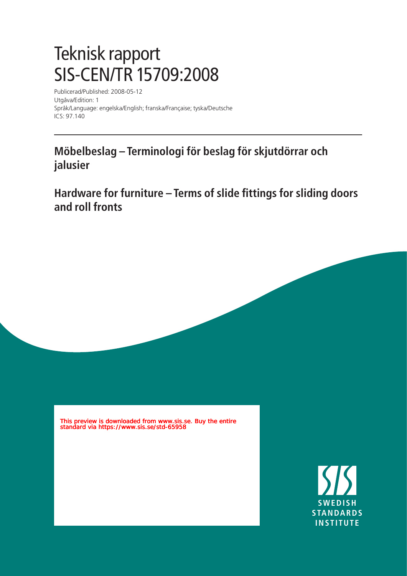### Teknisk rapport SIS-CEN/TR 15709:2008

Publicerad/Published: 2008-05-12 Utgåva/Edition: 1 Språk/Language: engelska/English; franska/Française; tyska/Deutsche ICS: 97.140

### **Möbelbeslag – Terminologi för beslag för skjutdörrar och jalusier**

**Hardware for furniture – Terms of slide fittings for sliding doors and roll fronts**

This preview is downloaded from www.sis.se. Buy the entire standard via https://www.sis.se/std-65958

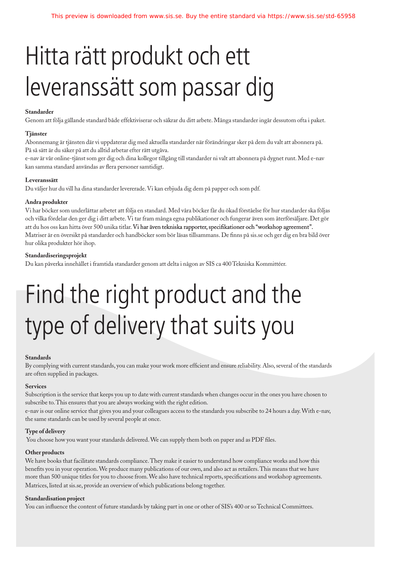## Hitta rätt produkt och ett leveranssätt som passar dig

### **Standarder**

Genom att följa gällande standard både effektiviserar och säkrar du ditt arbete. Många standarder ingår dessutom ofta i paket.

#### **Tjänster**

Abonnemang är tjänsten där vi uppdaterar dig med aktuella standarder när förändringar sker på dem du valt att abonnera på. På så sätt är du säker på att du alltid arbetar efter rätt utgåva.

e-nav är vår online-tjänst som ger dig och dina kollegor tillgång till standarder ni valt att abonnera på dygnet runt. Med e-nav kan samma standard användas av flera personer samtidigt.

#### **Leveranssätt**

Du väljer hur du vill ha dina standarder levererade. Vi kan erbjuda dig dem på papper och som pdf.

#### **Andra produkter**

Vi har böcker som underlättar arbetet att följa en standard. Med våra böcker får du ökad förståelse för hur standarder ska följas och vilka fördelar den ger dig i ditt arbete. Vi tar fram många egna publikationer och fungerar även som återförsäljare. Det gör att du hos oss kan hitta över 500 unika titlar. Vi har även tekniska rapporter, specifikationer och "workshop agreement". Matriser är en översikt på standarder och handböcker som bör läsas tillsammans. De finns på sis.se och ger dig en bra bild över hur olika produkter hör ihop.

#### **Standardiseringsprojekt**

Du kan påverka innehållet i framtida standarder genom att delta i någon av SIS ca 400 Tekniska Kommittéer.

# Find the right product and the type of delivery that suits you

#### **Standards**

By complying with current standards, you can make your work more efficient and ensure reliability. Also, several of the standards are often supplied in packages.

### **Services**

Subscription is the service that keeps you up to date with current standards when changes occur in the ones you have chosen to subscribe to. This ensures that you are always working with the right edition.

e-nav is our online service that gives you and your colleagues access to the standards you subscribe to 24 hours a day. With e-nav, the same standards can be used by several people at once.

### **Type of delivery**

You choose how you want your standards delivered. We can supply them both on paper and as PDF files.

### **Other products**

We have books that facilitate standards compliance. They make it easier to understand how compliance works and how this benefits you in your operation. We produce many publications of our own, and also act as retailers. This means that we have more than 500 unique titles for you to choose from. We also have technical reports, specifications and workshop agreements. Matrices, listed at sis.se, provide an overview of which publications belong together.

### **Standardisation project**

You can influence the content of future standards by taking part in one or other of SIS's 400 or so Technical Committees.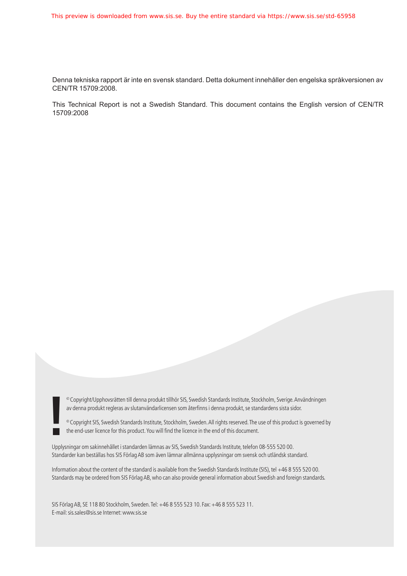Denna tekniska rapport är inte en svensk standard. Detta dokument innehåller den engelska språkversionen av CEN/TR 15709:2008.

This Technical Report is not a Swedish Standard. This document contains the English version of CEN/TR 15709:2008

av denna produkt regleras av slutanvändarlicensen som återfinns i denna produkt, se standardens sista sidor.

<sup>©</sup> Copyright/Upphovsrätten till denna produkt tillhör SIS, Swedish Standards Institute, Stockholm, Sverige. Användningen<br>av denna produkt regleras av slutanvändarlicensen som återfinns i denna produkt, se standardens sis

Upplysningar om sakinnehållet i standarden lämnas av SIS, Swedish Standards Institute, telefon 08-555 520 00. Standarder kan beställas hos SIS Förlag AB som även lämnar allmänna upplysningar om svensk och utländsk standard.

Information about the content of the standard is available from the Swedish Standards Institute (SIS), tel +46 8 555 520 00. Standards may be ordered from SIS Förlag AB, who can also provide general information about Swedish and foreign standards.

SIS Förlag AB, SE 118 80 Stockholm, Sweden. Tel: +46 8 555 523 10. Fax: +46 8 555 523 11. E-mail: sis.sales@sis.se Internet: www.sis.se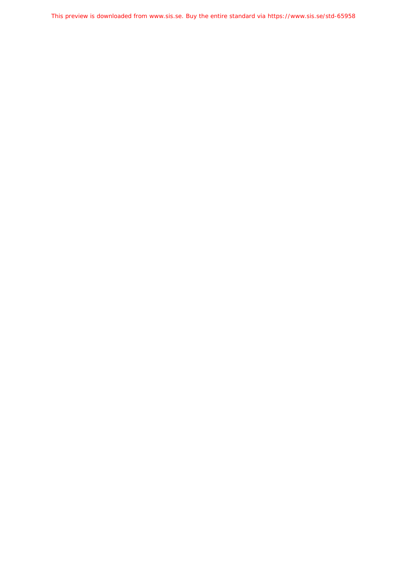This preview is downloaded from www.sis.se. Buy the entire standard via https://www.sis.se/std-65958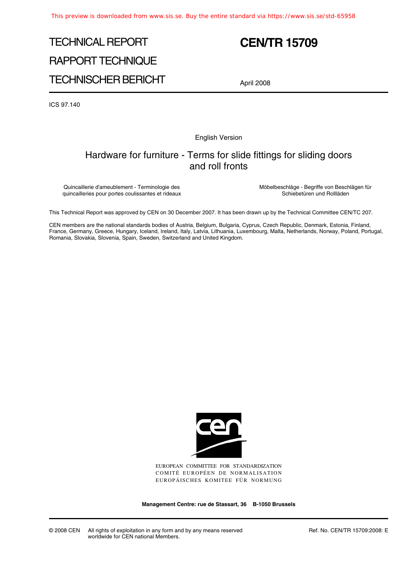### TECHNICAL REPORT RAPPORT TECHNIQUE TECHNISCHER BERICHT

### **CEN/TR 15709**

April 2008

ICS 97.140

English Version

### Hardware for furniture - Terms for slide fittings for sliding doors and roll fronts

Quincaillerie d'ameublement - Terminologie des quincailleries pour portes coulissantes et rideaux Möbelbeschläge - Begriffe von Beschlägen für Schiebetüren und Rollläden

This Technical Report was approved by CEN on 30 December 2007. It has been drawn up by the Technical Committee CEN/TC 207.

CEN members are the national standards bodies of Austria, Belgium, Bulgaria, Cyprus, Czech Republic, Denmark, Estonia, Finland, France, Germany, Greece, Hungary, Iceland, Ireland, Italy, Latvia, Lithuania, Luxembourg, Malta, Netherlands, Norway, Poland, Portugal, Romania, Slovakia, Slovenia, Spain, Sweden, Switzerland and United Kingdom.



EUROPEAN COMMITTEE FOR STANDARDIZATION COMITÉ EUROPÉEN DE NORMALISATION EUROPÄISCHES KOMITEE FÜR NORMUNG

**Management Centre: rue de Stassart, 36 B-1050 Brussels**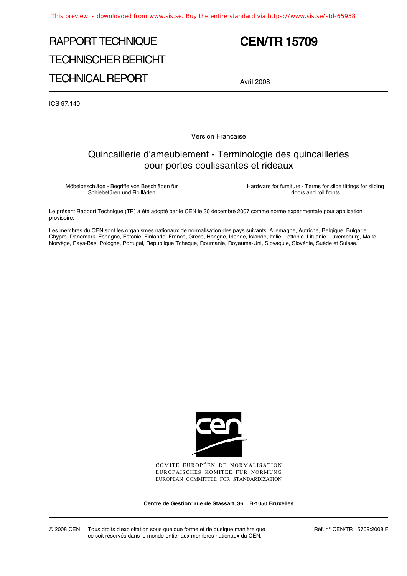### RAPPORT TECHNIQUE TECHNISCHER BERICHT TECHNICAL REPORT

### **CEN/TR 15709**

Avril 2008

ICS 97.140

Version Française

### Quincaillerie d'ameublement - Terminologie des quincailleries pour portes coulissantes et rideaux

Möbelbeschläge - Begriffe von Beschlägen für Schiebetüren und Rollläden

Hardware for furniture - Terms for slide fittings for sliding doors and roll fronts

Le présent Rapport Technique (TR) a été adopté par le CEN le 30 décembre 2007 comme norme expérimentale pour application provisoire.

Les membres du CEN sont les organismes nationaux de normalisation des pays suivants: Allemagne, Autriche, Belgique, Bulgarie, Chypre, Danemark, Espagne, Estonie, Finlande, France, Grèce, Hongrie, Irlande, Islande, Italie, Lettonie, Lituanie, Luxembourg, Malte, Norvège, Pays-Bas, Pologne, Portugal, République Tchèque, Roumanie, Royaume-Uni, Slovaquie, Slovénie, Suède et Suisse.



COMITÉ EUROPÉEN DE NORMALISATION EUROPÄISCHES KOMITEE FÜR NORMUNG EUROPEAN COMMITTEE FOR STANDARDIZATION

**Centre de Gestion: rue de Stassart, 36 B-1050 Bruxelles**

© 2008 CEN Tous droits d'exploitation sous quelque forme et de quelque manière que ce soit réservés dans le monde entier aux membres nationaux du CEN.

Réf. n° CEN/TR 15709:2008 F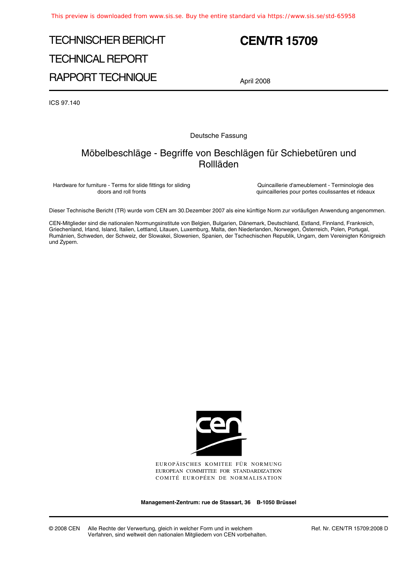### TECHNISCHER BERICHT TECHNICAL REPORT RAPPORT TECHNIQUE

**CEN/TR 15709**

April 2008

ICS 97.140

Deutsche Fassung

### Möbelbeschläge - Begriffe von Beschlägen für Schiebetüren und Rollläden

Hardware for furniture - Terms for slide fittings for sliding doors and roll fronts

Quincaillerie d'ameublement - Terminologie des quincailleries pour portes coulissantes et rideaux

Dieser Technische Bericht (TR) wurde vom CEN am 30.Dezember 2007 als eine künftige Norm zur vorläufigen Anwendung angenommen.

CEN-Mitglieder sind die nationalen Normungsinstitute von Belgien, Bulgarien, Dänemark, Deutschland, Estland, Finnland, Frankreich, Griechenland, Irland, Island, Italien, Lettland, Litauen, Luxemburg, Malta, den Niederlanden, Norwegen, Österreich, Polen, Portugal, Rumänien, Schweden, der Schweiz, der Slowakei, Slowenien, Spanien, der Tschechischen Republik, Ungarn, dem Vereinigten Königreich und Zypern.



EUROPÄISCHES KOMITEE FÜR NORMUNG EUROPEAN COMMITTEE FOR STANDARDIZATION COMITÉ EUROPÉEN DE NORMALISATION

**Management-Zentrum: rue de Stassart, 36 B-1050 Brüssel**

© 2008 CEN Alle Rechte der Verwertung, gleich in welcher Form und in welchem Verfahren, sind weltweit den nationalen Mitgliedern von CEN vorbehalten. Ref. Nr. CEN/TR 15709:2008 D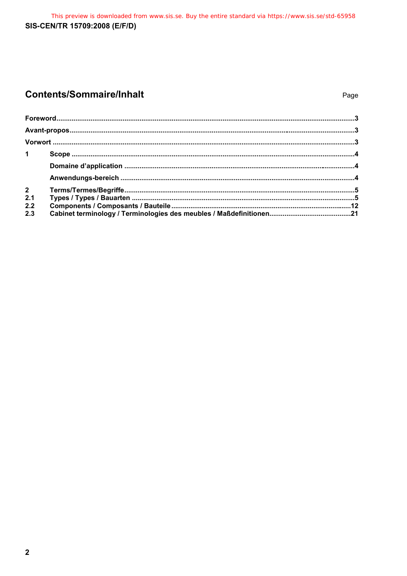### **Contents/Sommaire/Inhalt**

Page

| 1 <sup>1</sup> |  |
|----------------|--|
|                |  |
|                |  |
| $2^{\circ}$    |  |
| 2.1<br>2.2     |  |
| 2.3            |  |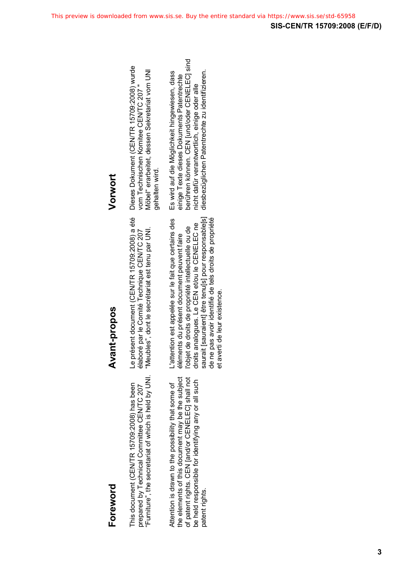Foreword

### $\overline{1}$  $\frac{1}{2}$  $\frac{1}{2}$  $\sim$

# *<u>Vonuort</u>*

| Foreword                                                                                                                                                                                                                            | Avant-propos                                                                                                                                                                                                                                                                                                                                                     | Vorwort                                                                                                                                                                                                                                        |
|-------------------------------------------------------------------------------------------------------------------------------------------------------------------------------------------------------------------------------------|------------------------------------------------------------------------------------------------------------------------------------------------------------------------------------------------------------------------------------------------------------------------------------------------------------------------------------------------------------------|------------------------------------------------------------------------------------------------------------------------------------------------------------------------------------------------------------------------------------------------|
| Furniture", the secretariat of which is held by UNI.<br>This document (CEN/TR 15709:2008) has been<br>orepared by Technical Committee CEN/TC 207                                                                                    | e présent document (CEN/TR 15709:2008) a été<br>"Meubles", dont le secrétariat est tenu par UNI.<br>laboré par le Comité Technique CEN/TC 207<br>۰ω                                                                                                                                                                                                              | Dieses Dokument (CEN/TR 15709:2008) wurde<br>Möbel" erarbeitet, dessen Sekretariat vom UNI<br>vom Technischen Komitee CEN/TC 207"<br>gehalten wird.                                                                                            |
| the elements of this document may be the subject<br>of patent rights. CEN [and/or CENELEC] shall not<br>be held responsible for identifying any or all such<br>Attention is drawn to the possibility that some of<br>patent rights. | aurait [sauraient] être tenu[s] pour responsable[s]<br>attention est appelée sur le fait que certains des<br>e ne pas avoir identifié de tels droits de propriété<br>roits analogues. Le CEN et/ou le CENELEC ne<br>objet de droits de propriété intellectuelle ou de<br>léments du présent document peuvent faire<br>t averti de leur existence.<br>ü<br>¢<br>Φ | berühren können. CEN Jund/oder CENELECI sind<br>diesbezüglichen Patentrechte zu identifizieren.<br>Es wird auf die Möglichkeit hingewiesen, dass<br>einige Texte dieses Dokuments Patentrechte<br>nicht dafür verantwortlich, einige oder alle |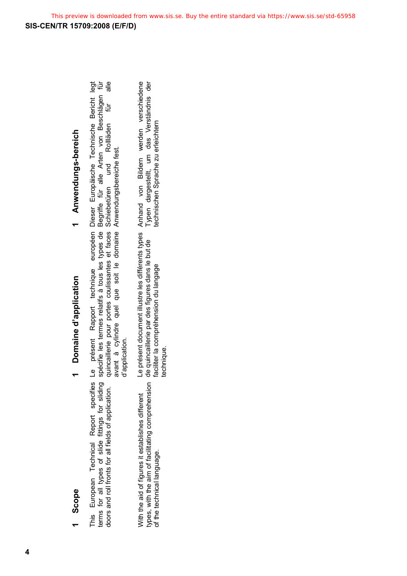| 1 Scope                                                                                                                                               | 1 Domaine d'application                                                                                                                                                | 1 Anwendungs-bereich                                                                                                                                                                                                        |
|-------------------------------------------------------------------------------------------------------------------------------------------------------|------------------------------------------------------------------------------------------------------------------------------------------------------------------------|-----------------------------------------------------------------------------------------------------------------------------------------------------------------------------------------------------------------------------|
| This European Technical Report specifies<br>terms for all types of slide fittings for sliding<br>doors and roll fronts for all fields of application. | quincaillerie pour portes coulissantes et faces Schiebetüren und Rollläden für<br>avant à cylindre quel que soit le domaine Anwendungsbereiche fest.<br>d'application. | Le présent Rapport technique européen Dieser Europäische Technische Bericht legt<br>spécifie les termes relatifs à tous les types de Begriffe für alle Arten von Beschlägen für<br>$\frac{1}{6}$                            |
| types, with the aim of facilitating comprehension<br>With the aid of figures it establishes different<br>of the technical language.                   | faciliter la compréhension du langage<br>technique.                                                                                                                    | de quincaillerie par des figures dans le but de Impen dargestellt, um das Verständnis der<br>Le présent document illustre les différents types Anhand von Bildern werden verschiedene<br>technischen Sprache zu erleichtern |